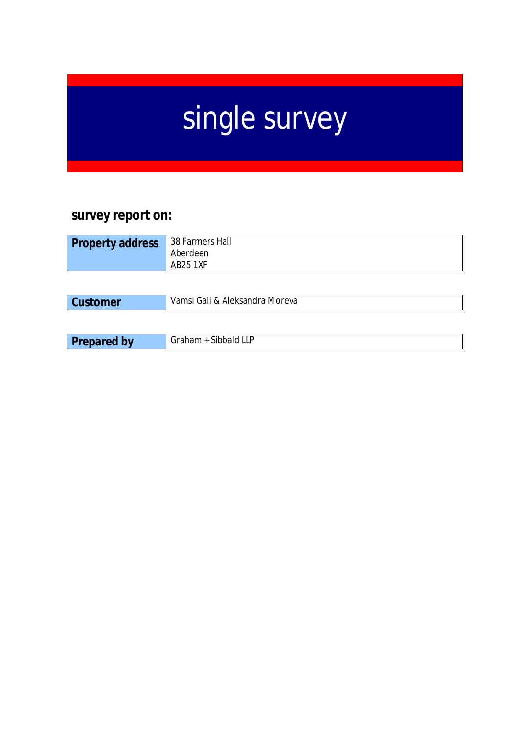# single survey

# **survey report on:**

| <b>Property address</b> | 38 Farmers Hall<br>Aberdeen |
|-------------------------|-----------------------------|
|                         | <b>AB25 1XF</b>             |

| omer | Aleksandra<br>Moreva<br>Gali &<br>Vamsi |
|------|-----------------------------------------|
|      |                                         |

| <b>The State</b> | <b><i>Charles</i></b> |
|------------------|-----------------------|
| ~…               | 71 I                  |
| . .              | $\overline{ }$        |
|                  | ---                   |
| --               | .                     |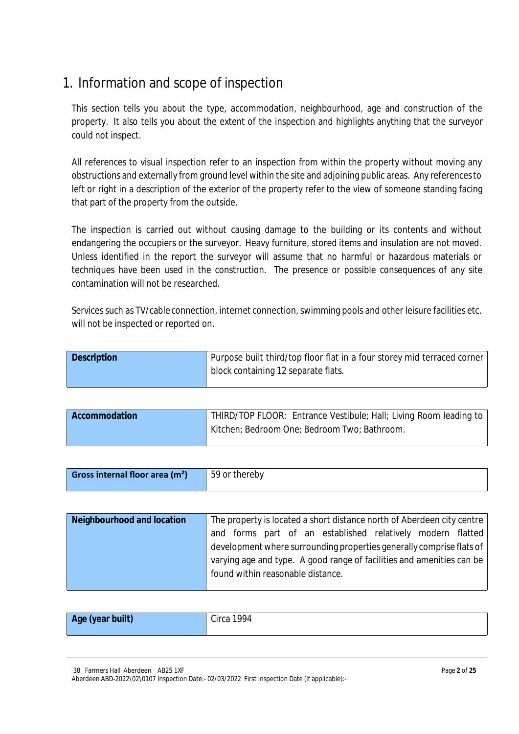# 1. Information and scope of inspection

This section tells you about the type, accommodation, neighbourhood, age and construction of the property. It also tells you about the extent of the inspection and highlights anything that the surveyor could not inspect.

All references to visual inspection refer to an inspection from within the property without moving any obstructions and externally from ground level within the site and adjoining public areas. Any referencesto left or right in a description of the exterior of the property refer to the view of someone standing facing that part of the property from the outside.

The inspection is carried out without causing damage to the building or its contents and without endangering the occupiers or the surveyor. Heavy furniture, stored items and insulation are not moved. Unless identified in the report the surveyor will assume that no harmful or hazardous materials or techniques have been used in the construction. The presence or possible consequences of any site contamination will not be researched.

Services such as TV/cable connection, internet connection, swimming pools and other leisure facilities etc. will not be inspected or reported on.

| <b>Description</b> | Purpose built third/top floor flat in a four storey mid terraced corner |
|--------------------|-------------------------------------------------------------------------|
|                    | block containing 12 separate flats.                                     |

| Accommodation | THIRD/TOP FLOOR: Entrance Vestibule; Hall; Living Room leading to l |
|---------------|---------------------------------------------------------------------|
|               | Kitchen; Bedroom One; Bedroom Two; Bathroom.                        |

| Gross internal floor area (m <sup>2</sup> )<br>59 or thereby |  |
|--------------------------------------------------------------|--|

| Neighbourhood and location | The property is located a short distance north of Aberdeen city centre |
|----------------------------|------------------------------------------------------------------------|
|                            | and forms part of an established relatively modern flatted             |
|                            | development where surrounding properties generally comprise flats of   |
|                            | varying age and type. A good range of facilities and amenities can be  |
|                            | found within reasonable distance.                                      |
|                            |                                                                        |

| Age (year built) | Circa 1994 |
|------------------|------------|
|                  |            |

38 Farmers Hall Aberdeen AB25 1XF

Aberdeen ABD-2022\02\0107 Inspection Date:- 02/03/2022 First Inspection Date (if applicable):-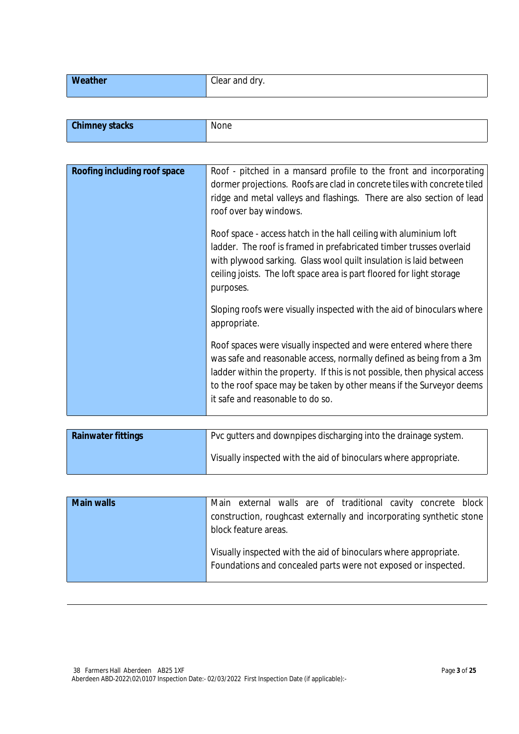|  | <b>Weather</b><br>Clear and dry. |  |
|--|----------------------------------|--|
|--|----------------------------------|--|

| <b>Chimney stacks</b> | $-1$<br>none |
|-----------------------|--------------|
|                       |              |

| Roofing including roof space | Roof - pitched in a mansard profile to the front and incorporating        |
|------------------------------|---------------------------------------------------------------------------|
|                              | dormer projections. Roofs are clad in concrete tiles with concrete tiled  |
|                              | ridge and metal valleys and flashings. There are also section of lead     |
|                              | roof over bay windows.                                                    |
|                              |                                                                           |
|                              | Roof space - access hatch in the hall ceiling with aluminium loft         |
|                              | ladder. The roof is framed in prefabricated timber trusses overlaid       |
|                              | with plywood sarking. Glass wool quilt insulation is laid between         |
|                              | ceiling joists. The loft space area is part floored for light storage     |
|                              | purposes.                                                                 |
|                              |                                                                           |
|                              | Sloping roofs were visually inspected with the aid of binoculars where    |
|                              | appropriate.                                                              |
|                              |                                                                           |
|                              | Roof spaces were visually inspected and were entered where there          |
|                              | was safe and reasonable access, normally defined as being from a 3m       |
|                              | ladder within the property. If this is not possible, then physical access |
|                              | to the roof space may be taken by other means if the Surveyor deems       |
|                              |                                                                           |
|                              | it safe and reasonable to do so.                                          |
|                              |                                                                           |

| <b>Rainwater fittings</b> | Pvc gutters and downpipes discharging into the drainage system.  |
|---------------------------|------------------------------------------------------------------|
|                           | Visually inspected with the aid of binoculars where appropriate. |

| <b>Main walls</b> | Main external walls are of traditional cavity concrete block         |
|-------------------|----------------------------------------------------------------------|
|                   | construction, roughcast externally and incorporating synthetic stone |
|                   | block feature areas.                                                 |
|                   |                                                                      |
|                   | Visually inspected with the aid of binoculars where appropriate.     |
|                   | Foundations and concealed parts were not exposed or inspected.       |
|                   |                                                                      |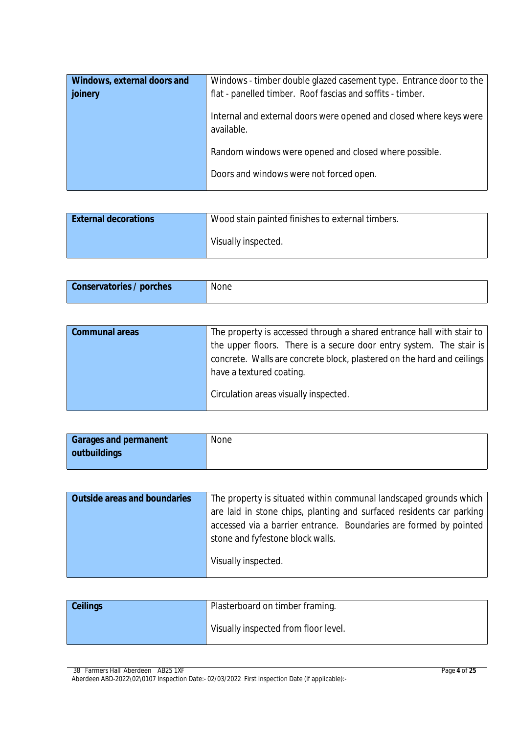| Windows, external doors and | Windows - timber double glazed casement type. Entrance door to the               |
|-----------------------------|----------------------------------------------------------------------------------|
| joinery                     | flat - panelled timber. Roof fascias and soffits - timber.                       |
|                             | Internal and external doors were opened and closed where keys were<br>available. |
|                             | Random windows were opened and closed where possible.                            |
|                             | Doors and windows were not forced open.                                          |

| <b>External decorations</b> | Wood stain painted finishes to external timbers. |
|-----------------------------|--------------------------------------------------|
|                             | Visually inspected.                              |

| <b>Conservatories / porches</b> | None |
|---------------------------------|------|
|                                 |      |

| <b>Communal areas</b> | The property is accessed through a shared entrance hall with stair to  |
|-----------------------|------------------------------------------------------------------------|
|                       | the upper floors. There is a secure door entry system. The stair is    |
|                       | concrete. Walls are concrete block, plastered on the hard and ceilings |
|                       | have a textured coating.                                               |
|                       | Circulation areas visually inspected.                                  |

| <b>Garages and permanent</b> | None |
|------------------------------|------|
| outbuildings                 |      |

| <b>Outside areas and boundaries</b> | The property is situated within communal landscaped grounds which    |
|-------------------------------------|----------------------------------------------------------------------|
|                                     | are laid in stone chips, planting and surfaced residents car parking |
|                                     | accessed via a barrier entrance. Boundaries are formed by pointed    |
|                                     | stone and fyfestone block walls.                                     |
|                                     | Visually inspected.                                                  |

| <b>Ceilings</b> | Plasterboard on timber framing.      |
|-----------------|--------------------------------------|
|                 | Visually inspected from floor level. |

<sup>38</sup> Farmers Hall Aberdeen AB25 1XF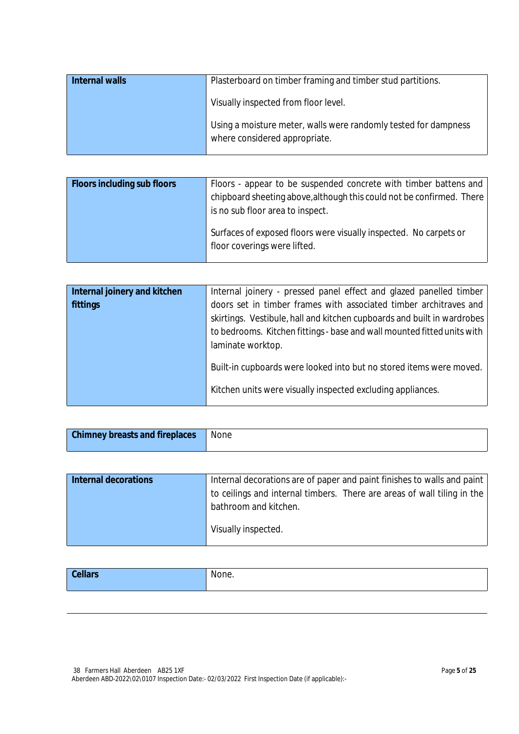| <b>Internal walls</b> | Plasterboard on timber framing and timber stud partitions.                                       |
|-----------------------|--------------------------------------------------------------------------------------------------|
|                       | Visually inspected from floor level.                                                             |
|                       | Using a moisture meter, walls were randomly tested for dampness<br>where considered appropriate. |

| <b>Floors including sub floors</b> | Floors - appear to be suspended concrete with timber battens and<br>chipboard sheeting above, although this could not be confirmed. There<br>is no sub floor area to inspect. |
|------------------------------------|-------------------------------------------------------------------------------------------------------------------------------------------------------------------------------|
|                                    | Surfaces of exposed floors were visually inspected. No carpets or<br>floor coverings were lifted.                                                                             |

| Internal joinery and kitchen | Internal joinery - pressed panel effect and glazed panelled timber      |
|------------------------------|-------------------------------------------------------------------------|
| fittings                     | doors set in timber frames with associated timber architraves and       |
|                              | skirtings. Vestibule, hall and kitchen cupboards and built in wardrobes |
|                              | to bedrooms. Kitchen fittings - base and wall mounted fitted units with |
|                              | laminate worktop.                                                       |
|                              | Built-in cupboards were looked into but no stored items were moved.     |
|                              | Kitchen units were visually inspected excluding appliances.             |

| <b>Chimney breasts and fireplaces</b> | <b>None</b> |
|---------------------------------------|-------------|
|                                       |             |

| <b>Internal decorations</b> | Internal decorations are of paper and paint finishes to walls and paint |  |
|-----------------------------|-------------------------------------------------------------------------|--|
|                             | to ceilings and internal timbers. There are areas of wall tiling in the |  |
|                             | bathroom and kitchen.                                                   |  |
|                             | Visually inspected.                                                     |  |

| चा अ | None<br>one. |
|------|--------------|
|      |              |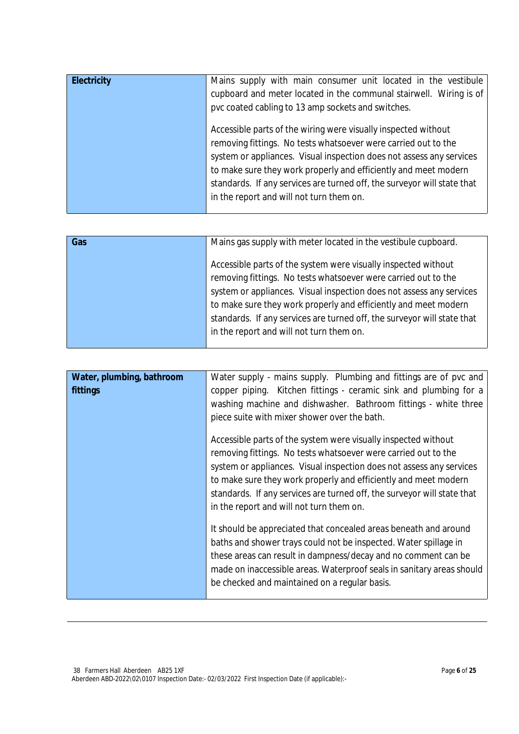| <b>Electricity</b> | Mains supply with main consumer unit located in the vestibule<br>cupboard and meter located in the communal stairwell. Wiring is of<br>pvc coated cabling to 13 amp sockets and switches.                                                                                                                                                                                                          |
|--------------------|----------------------------------------------------------------------------------------------------------------------------------------------------------------------------------------------------------------------------------------------------------------------------------------------------------------------------------------------------------------------------------------------------|
|                    | Accessible parts of the wiring were visually inspected without<br>removing fittings. No tests whatsoever were carried out to the<br>system or appliances. Visual inspection does not assess any services<br>to make sure they work properly and efficiently and meet modern<br>standards. If any services are turned off, the surveyor will state that<br>in the report and will not turn them on. |

| Gas | Mains gas supply with meter located in the vestibule cupboard.          |
|-----|-------------------------------------------------------------------------|
|     | Accessible parts of the system were visually inspected without          |
|     | removing fittings. No tests whatsoever were carried out to the          |
|     | system or appliances. Visual inspection does not assess any services    |
|     | to make sure they work properly and efficiently and meet modern         |
|     | standards. If any services are turned off, the surveyor will state that |
|     | in the report and will not turn them on.                                |
|     |                                                                         |

| Water, plumbing, bathroom<br>fittings | Water supply - mains supply. Plumbing and fittings are of pvc and<br>copper piping. Kitchen fittings - ceramic sink and plumbing for a<br>washing machine and dishwasher. Bathroom fittings - white three<br>piece suite with mixer shower over the bath.                                                                                                                                          |
|---------------------------------------|----------------------------------------------------------------------------------------------------------------------------------------------------------------------------------------------------------------------------------------------------------------------------------------------------------------------------------------------------------------------------------------------------|
|                                       | Accessible parts of the system were visually inspected without<br>removing fittings. No tests whatsoever were carried out to the<br>system or appliances. Visual inspection does not assess any services<br>to make sure they work properly and efficiently and meet modern<br>standards. If any services are turned off, the surveyor will state that<br>in the report and will not turn them on. |
|                                       | It should be appreciated that concealed areas beneath and around<br>baths and shower trays could not be inspected. Water spillage in<br>these areas can result in dampness/decay and no comment can be<br>made on inaccessible areas. Waterproof seals in sanitary areas should<br>be checked and maintained on a regular basis.                                                                   |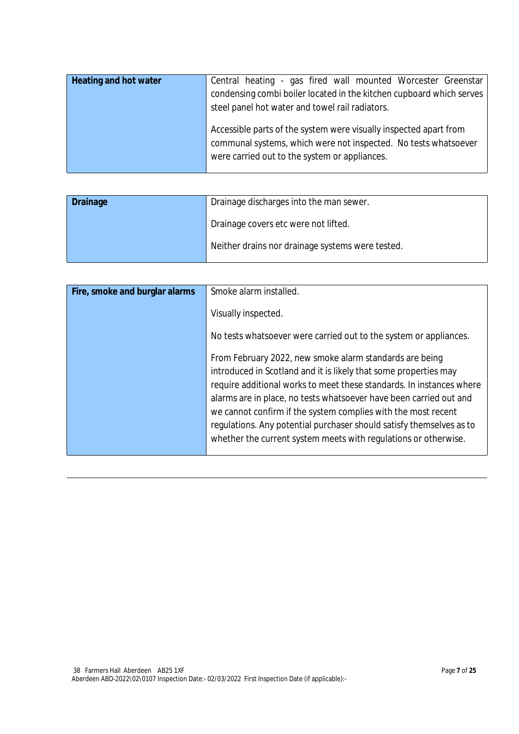| Heating and hot water | Central heating - gas fired wall mounted Worcester Greenstar<br>condensing combi boiler located in the kitchen cupboard which serves<br>steel panel hot water and towel rail radiators. |
|-----------------------|-----------------------------------------------------------------------------------------------------------------------------------------------------------------------------------------|
|                       | Accessible parts of the system were visually inspected apart from<br>communal systems, which were not inspected. No tests whatsoever<br>were carried out to the system or appliances.   |

| <b>Drainage</b> | Drainage discharges into the man sewer.          |
|-----------------|--------------------------------------------------|
|                 | Drainage covers etc were not lifted.             |
|                 | Neither drains nor drainage systems were tested. |

| Fire, smoke and burglar alarms | Smoke alarm installed.                                                                                                                                                                                                                                                                                                                                                                                                                                                                |
|--------------------------------|---------------------------------------------------------------------------------------------------------------------------------------------------------------------------------------------------------------------------------------------------------------------------------------------------------------------------------------------------------------------------------------------------------------------------------------------------------------------------------------|
|                                | Visually inspected.                                                                                                                                                                                                                                                                                                                                                                                                                                                                   |
|                                | No tests whatsoever were carried out to the system or appliances.                                                                                                                                                                                                                                                                                                                                                                                                                     |
|                                | From February 2022, new smoke alarm standards are being<br>introduced in Scotland and it is likely that some properties may<br>require additional works to meet these standards. In instances where<br>alarms are in place, no tests whatsoever have been carried out and<br>we cannot confirm if the system complies with the most recent<br>regulations. Any potential purchaser should satisfy themselves as to<br>whether the current system meets with regulations or otherwise. |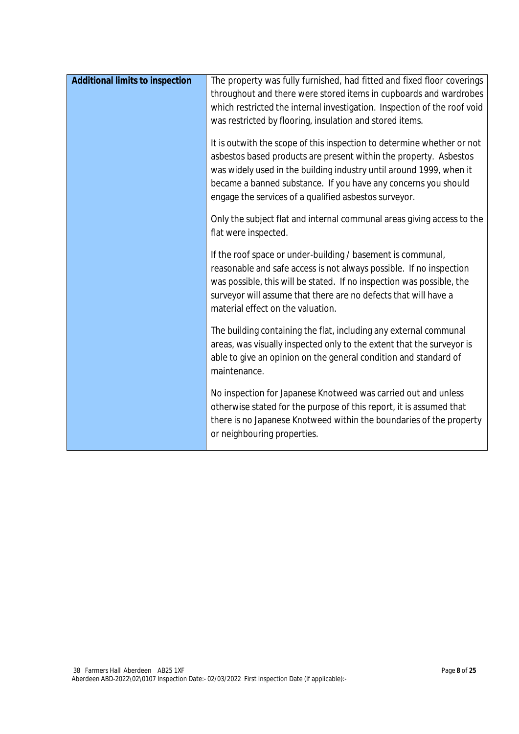| <b>Additional limits to inspection</b> | The property was fully furnished, had fitted and fixed floor coverings<br>throughout and there were stored items in cupboards and wardrobes<br>which restricted the internal investigation. Inspection of the roof void<br>was restricted by flooring, insulation and stored items.                                                           |
|----------------------------------------|-----------------------------------------------------------------------------------------------------------------------------------------------------------------------------------------------------------------------------------------------------------------------------------------------------------------------------------------------|
|                                        | It is outwith the scope of this inspection to determine whether or not<br>asbestos based products are present within the property. Asbestos<br>was widely used in the building industry until around 1999, when it<br>became a banned substance. If you have any concerns you should<br>engage the services of a qualified asbestos surveyor. |
|                                        | Only the subject flat and internal communal areas giving access to the<br>flat were inspected.                                                                                                                                                                                                                                                |
|                                        | If the roof space or under-building / basement is communal,<br>reasonable and safe access is not always possible. If no inspection<br>was possible, this will be stated. If no inspection was possible, the<br>surveyor will assume that there are no defects that will have a<br>material effect on the valuation.                           |
|                                        | The building containing the flat, including any external communal<br>areas, was visually inspected only to the extent that the surveyor is<br>able to give an opinion on the general condition and standard of<br>maintenance.                                                                                                                |
|                                        | No inspection for Japanese Knotweed was carried out and unless<br>otherwise stated for the purpose of this report, it is assumed that<br>there is no Japanese Knotweed within the boundaries of the property<br>or neighbouring properties.                                                                                                   |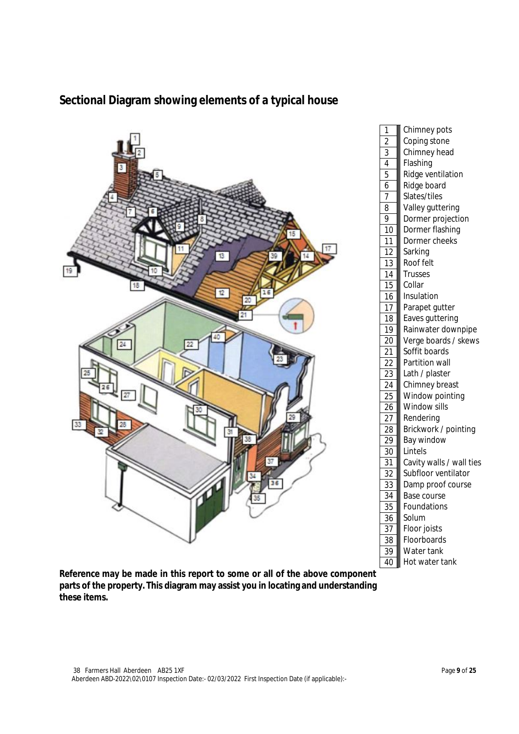

## **Sectional Diagram showing elements of a typical house**

**Reference may be made in this report to some or all of the above component parts of the property. This diagram may assist you in locating and understanding these items.**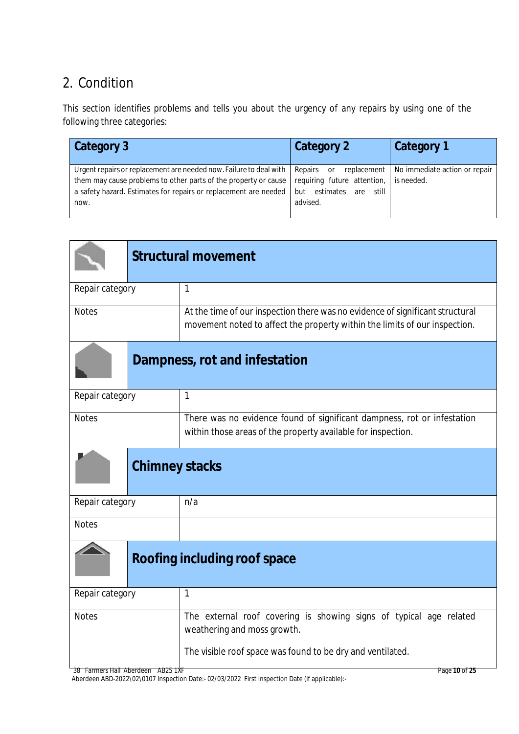# 2. Condition

This section identifies problems and tells you about the urgency of any repairs by using one of the following three categories:

| Category 3                                                                                                                                                                                                        | Category 2                                                                                                    | Category 1                                  |
|-------------------------------------------------------------------------------------------------------------------------------------------------------------------------------------------------------------------|---------------------------------------------------------------------------------------------------------------|---------------------------------------------|
| Urgent repairs or replacement are needed now. Failure to deal with<br>them may cause problems to other parts of the property or cause<br>a safety hazard. Estimates for repairs or replacement are needed<br>now. | Repairs<br>replacement  <br>or<br>requiring future attention,<br>estimates<br>still<br>but<br>are<br>advised. | No immediate action or repair<br>is needed. |

|                                     | <b>Structural movement</b>                                                                                                                                      |
|-------------------------------------|-----------------------------------------------------------------------------------------------------------------------------------------------------------------|
| Repair category                     | $\mathbf{1}$                                                                                                                                                    |
| <b>Notes</b>                        | At the time of our inspection there was no evidence of significant structural<br>movement noted to affect the property within the limits of our inspection.     |
|                                     | Dampness, rot and infestation                                                                                                                                   |
| Repair category                     | $\mathbf{1}$                                                                                                                                                    |
| <b>Notes</b>                        | There was no evidence found of significant dampness, rot or infestation<br>within those areas of the property available for inspection.                         |
|                                     | <b>Chimney stacks</b>                                                                                                                                           |
| Repair category                     | n/a                                                                                                                                                             |
| <b>Notes</b>                        |                                                                                                                                                                 |
| <b>Roofing including roof space</b> |                                                                                                                                                                 |
| Repair category                     | $\mathbf{1}$                                                                                                                                                    |
| <b>Notes</b>                        | The external roof covering is showing signs of typical age related<br>weathering and moss growth.<br>The visible roof space was found to be dry and ventilated. |
| 38 Farmers Hall Aberdeen AB25 1XF   | Page 10 of 25                                                                                                                                                   |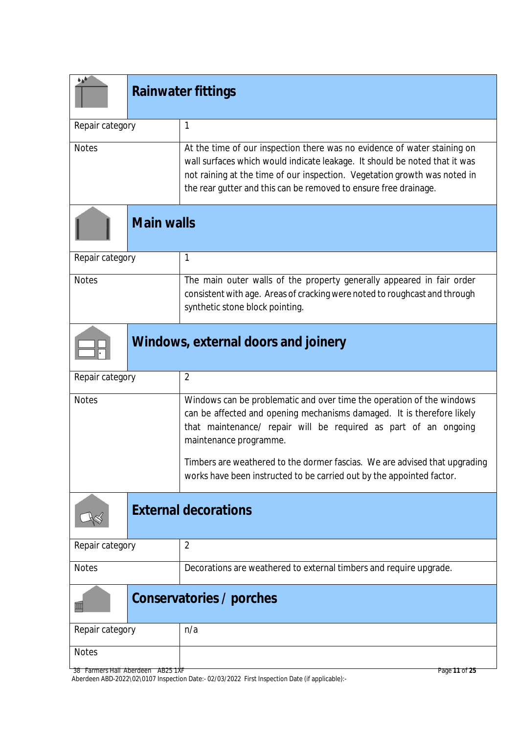| هره             | <b>Rainwater fittings</b> |                                                                                                                                                                                                                                                                                                         |
|-----------------|---------------------------|---------------------------------------------------------------------------------------------------------------------------------------------------------------------------------------------------------------------------------------------------------------------------------------------------------|
| Repair category |                           | $\mathbf{1}$                                                                                                                                                                                                                                                                                            |
| <b>Notes</b>    |                           | At the time of our inspection there was no evidence of water staining on<br>wall surfaces which would indicate leakage. It should be noted that it was<br>not raining at the time of our inspection. Vegetation growth was noted in<br>the rear gutter and this can be removed to ensure free drainage. |
|                 | <b>Main walls</b>         |                                                                                                                                                                                                                                                                                                         |
| Repair category |                           | $\mathbf{1}$                                                                                                                                                                                                                                                                                            |
| <b>Notes</b>    |                           | The main outer walls of the property generally appeared in fair order<br>consistent with age. Areas of cracking were noted to roughcast and through<br>synthetic stone block pointing.                                                                                                                  |
|                 |                           | Windows, external doors and joinery                                                                                                                                                                                                                                                                     |
| Repair category |                           | $\overline{2}$                                                                                                                                                                                                                                                                                          |
| <b>Notes</b>    |                           | Windows can be problematic and over time the operation of the windows<br>can be affected and opening mechanisms damaged. It is therefore likely<br>that maintenance/ repair will be required as part of an ongoing<br>maintenance programme.                                                            |
|                 |                           | Timbers are weathered to the dormer fascias. We are advised that upgrading<br>works have been instructed to be carried out by the appointed factor.                                                                                                                                                     |
|                 |                           | <b>External decorations</b>                                                                                                                                                                                                                                                                             |
| Repair category |                           | $\overline{2}$                                                                                                                                                                                                                                                                                          |
| <b>Notes</b>    |                           | Decorations are weathered to external timbers and require upgrade.                                                                                                                                                                                                                                      |
| Ш               |                           | Conservatories / porches                                                                                                                                                                                                                                                                                |
| Repair category |                           | n/a                                                                                                                                                                                                                                                                                                     |
| <b>Notes</b>    |                           |                                                                                                                                                                                                                                                                                                         |

38 Farmers Hall Aberdeen AB25 1XF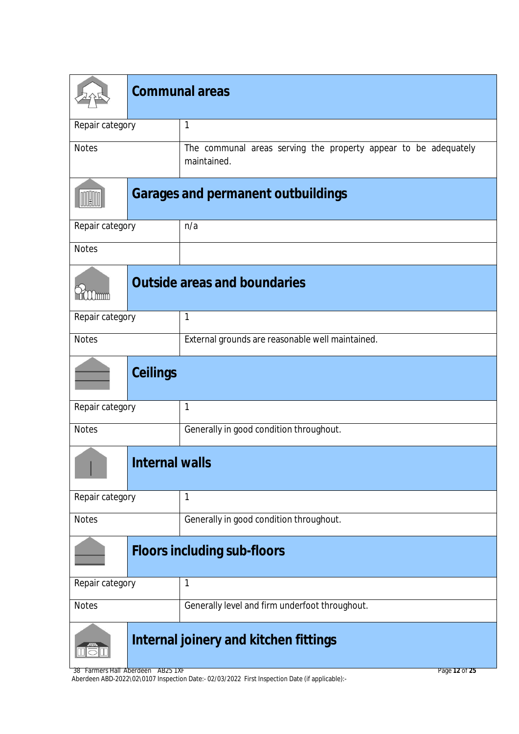|                 | <b>Communal areas</b> |                                                                                |
|-----------------|-----------------------|--------------------------------------------------------------------------------|
| Repair category |                       | 1                                                                              |
| <b>Notes</b>    |                       | The communal areas serving the property appear to be adequately<br>maintained. |
|                 |                       | <b>Garages and permanent outbuildings</b>                                      |
| Repair category |                       | n/a                                                                            |
| <b>Notes</b>    |                       |                                                                                |
| (mmm            |                       | <b>Outside areas and boundaries</b>                                            |
| Repair category |                       | 1                                                                              |
| <b>Notes</b>    |                       | External grounds are reasonable well maintained.                               |
|                 | <b>Ceilings</b>       |                                                                                |
| Repair category |                       | $\mathbf{1}$                                                                   |
| <b>Notes</b>    |                       | Generally in good condition throughout.                                        |
|                 | <b>Internal walls</b> |                                                                                |
| Repair category |                       | 1                                                                              |
| <b>Notes</b>    |                       | Generally in good condition throughout.                                        |
|                 |                       | <b>Floors including sub-floors</b>                                             |
| Repair category |                       | 1                                                                              |
| <b>Notes</b>    |                       | Generally level and firm underfoot throughout.                                 |
|                 |                       | Internal joinery and kitchen fittings                                          |

38 Farmers Hall Aberdeen AB25 1XF Aberdeen ABD-2022\02\0107 Inspection Date:- 02/03/2022 First Inspection Date (if applicable):-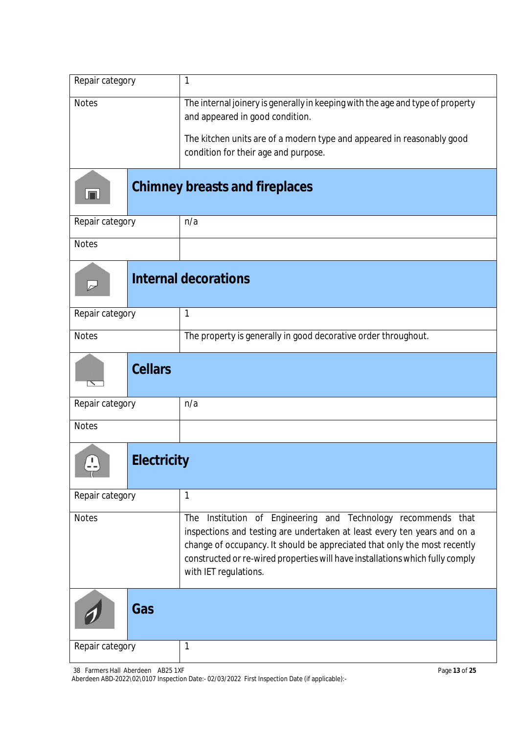| Repair category                    | 1                                                                                                                                                                                                                                                                                                                                   |
|------------------------------------|-------------------------------------------------------------------------------------------------------------------------------------------------------------------------------------------------------------------------------------------------------------------------------------------------------------------------------------|
| <b>Notes</b>                       | The internal joinery is generally in keeping with the age and type of property<br>and appeared in good condition.                                                                                                                                                                                                                   |
|                                    | The kitchen units are of a modern type and appeared in reasonably good<br>condition for their age and purpose.                                                                                                                                                                                                                      |
| JT J                               | <b>Chimney breasts and fireplaces</b>                                                                                                                                                                                                                                                                                               |
| Repair category                    | n/a                                                                                                                                                                                                                                                                                                                                 |
| <b>Notes</b>                       |                                                                                                                                                                                                                                                                                                                                     |
|                                    | <b>Internal decorations</b>                                                                                                                                                                                                                                                                                                         |
| Repair category                    | 1                                                                                                                                                                                                                                                                                                                                   |
| <b>Notes</b>                       | The property is generally in good decorative order throughout.                                                                                                                                                                                                                                                                      |
| <b>Cellars</b>                     |                                                                                                                                                                                                                                                                                                                                     |
| Repair category                    | n/a                                                                                                                                                                                                                                                                                                                                 |
| <b>Notes</b>                       |                                                                                                                                                                                                                                                                                                                                     |
| <b>Electricity</b><br>$\mathbf{L}$ |                                                                                                                                                                                                                                                                                                                                     |
| Repair category                    | $\mathbf{1}$                                                                                                                                                                                                                                                                                                                        |
| <b>Notes</b>                       | Institution of Engineering and Technology recommends that<br>The<br>inspections and testing are undertaken at least every ten years and on a<br>change of occupancy. It should be appreciated that only the most recently<br>constructed or re-wired properties will have installations which fully comply<br>with IET regulations. |
| Gas                                |                                                                                                                                                                                                                                                                                                                                     |
| Repair category                    | 1                                                                                                                                                                                                                                                                                                                                   |

38 Farmers Hall Aberdeen AB25 1XF Aberdeen ABD-2022\02\0107 Inspection Date:- 02/03/2022 First Inspection Date (if applicable):-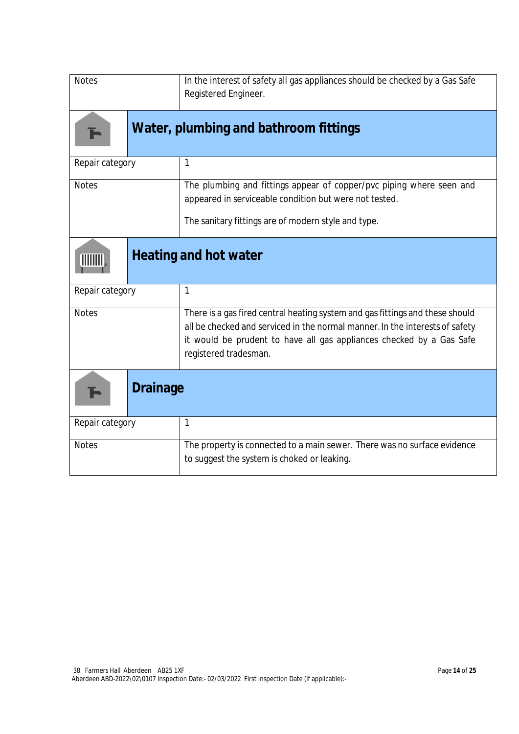| <b>Notes</b>    | In the interest of safety all gas appliances should be checked by a Gas Safe<br>Registered Engineer.                                                                                                                                                           |
|-----------------|----------------------------------------------------------------------------------------------------------------------------------------------------------------------------------------------------------------------------------------------------------------|
|                 | Water, plumbing and bathroom fittings                                                                                                                                                                                                                          |
| Repair category | 1                                                                                                                                                                                                                                                              |
| <b>Notes</b>    | The plumbing and fittings appear of copper/pvc piping where seen and<br>appeared in serviceable condition but were not tested.                                                                                                                                 |
|                 | The sanitary fittings are of modern style and type.                                                                                                                                                                                                            |
|                 | <b>Heating and hot water</b>                                                                                                                                                                                                                                   |
| Repair category | 1                                                                                                                                                                                                                                                              |
| <b>Notes</b>    | There is a gas fired central heating system and gas fittings and these should<br>all be checked and serviced in the normal manner. In the interests of safety<br>it would be prudent to have all gas appliances checked by a Gas Safe<br>registered tradesman. |
| <b>Drainage</b> |                                                                                                                                                                                                                                                                |
| Repair category | 1                                                                                                                                                                                                                                                              |
| <b>Notes</b>    | The property is connected to a main sewer. There was no surface evidence<br>to suggest the system is choked or leaking.                                                                                                                                        |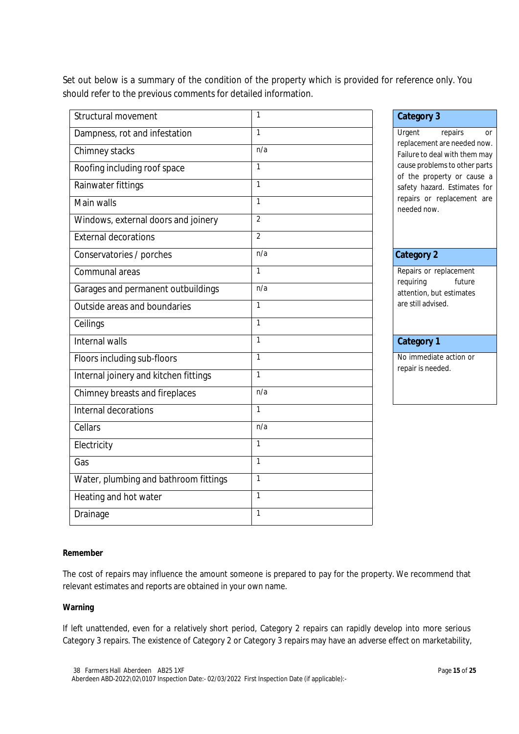Set out below is a summary of the condition of the property which is provided for reference only. You should refer to the previous comments for detailed information.

| Structural movement                   | $\mathbf{1}$   | <b>Category 3</b>                                                     |  |
|---------------------------------------|----------------|-----------------------------------------------------------------------|--|
| Dampness, rot and infestation         | $\mathbf{1}$   | Urgent<br>repairs<br><b>Or</b>                                        |  |
| Chimney stacks                        | n/a            | replacement are needed now<br>Failure to deal with them may           |  |
| Roofing including roof space          | $\mathbf{1}$   | cause problems to other parts<br>of the property or cause a           |  |
| Rainwater fittings                    | 1              | safety hazard. Estimates for                                          |  |
| Main walls                            | $\mathbf{1}$   | repairs or replacement are<br>needed now.                             |  |
| Windows, external doors and joinery   | $\overline{2}$ |                                                                       |  |
| <b>External decorations</b>           | $\overline{2}$ |                                                                       |  |
| Conservatories / porches              | n/a            | <b>Category 2</b>                                                     |  |
| Communal areas                        | 1              | Repairs or replacement                                                |  |
| Garages and permanent outbuildings    | n/a            | requiring<br>future<br>attention, but estimates<br>are still advised. |  |
| Outside areas and boundaries          | $\mathbf{1}$   |                                                                       |  |
| Ceilings                              | $\mathbf{1}$   |                                                                       |  |
| Internal walls                        | 1              | <b>Category 1</b>                                                     |  |
| Floors including sub-floors           | $\mathbf{1}$   | No immediate action or                                                |  |
| Internal joinery and kitchen fittings | $\mathbf{1}$   | repair is needed.                                                     |  |
| Chimney breasts and fireplaces        | n/a            |                                                                       |  |
| Internal decorations                  | $\mathbf{1}$   |                                                                       |  |
| Cellars                               | n/a            |                                                                       |  |
| Electricity                           | $\mathbf{1}$   |                                                                       |  |
| Gas                                   | $\mathbf{1}$   |                                                                       |  |
| Water, plumbing and bathroom fittings | $\mathbf{1}$   |                                                                       |  |
| Heating and hot water                 | $\mathbf{1}$   |                                                                       |  |
| Drainage                              | 1              |                                                                       |  |

#### **Category 2**

## **Category 1**

#### **Remember**

The cost of repairs may influence the amount someone is prepared to pay for the property. We recommend that relevant estimates and reports are obtained in your own name.

#### **Warning**

If left unattended, even for a relatively short period, Category 2 repairs can rapidly develop into more serious Category 3 repairs. The existence of Category 2 or Category 3 repairs may have an adverse effect on marketability,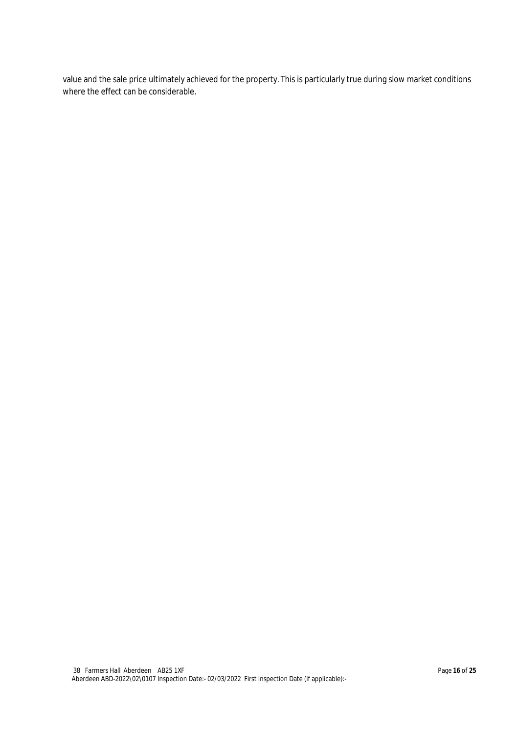value and the sale price ultimately achieved for the property. This is particularly true during slow market conditions where the effect can be considerable.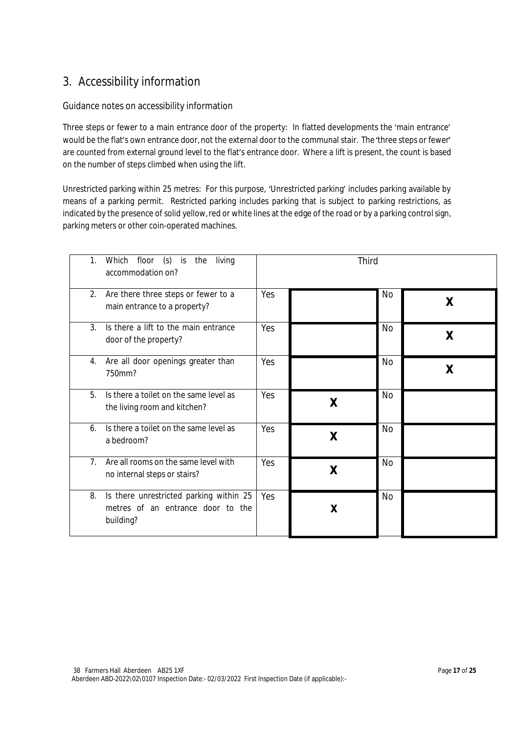# 3. Accessibility information

#### Guidance notes on accessibility information

Three steps or fewer to a main entrance door of the property: In flatted developments the 'main entrance' would be the flat's own entrance door, not the external door to the communal stair. The'three steps or fewer' are counted from external ground level to the flat's entrance door. Where a lift is present, the count is based on the number of steps climbed when using the lift.

Unrestricted parking within 25 metres: For this purpose, 'Unrestricted parking' includes parking available by means of a parking permit. Restricted parking includes parking that is subject to parking restrictions, as indicated by the presence of solid yellow, red or white lines at the edge of the road or by a parking control sign, parking meters or other coin-operated machines.

| $(s)$ is<br>floor<br>1.<br>living<br>Which<br>the<br>accommodation on?                          |     | Third |           |   |
|-------------------------------------------------------------------------------------------------|-----|-------|-----------|---|
| 2.<br>Are there three steps or fewer to a<br>main entrance to a property?                       | Yes |       | No        | X |
| $\mathcal{E}$<br>Is there a lift to the main entrance<br>door of the property?                  | Yes |       | No        | X |
| Are all door openings greater than<br>4.<br>750mm?                                              | Yes |       | No        | X |
| 5.<br>Is there a toilet on the same level as<br>the living room and kitchen?                    | Yes | X     | <b>No</b> |   |
| Is there a toilet on the same level as<br>6.<br>a bedroom?                                      | Yes | X     | <b>No</b> |   |
| 7 <sub>1</sub><br>Are all rooms on the same level with<br>no internal steps or stairs?          | Yes | X     | <b>No</b> |   |
| Is there unrestricted parking within 25<br>8.<br>metres of an entrance door to the<br>building? | Yes | X     | <b>No</b> |   |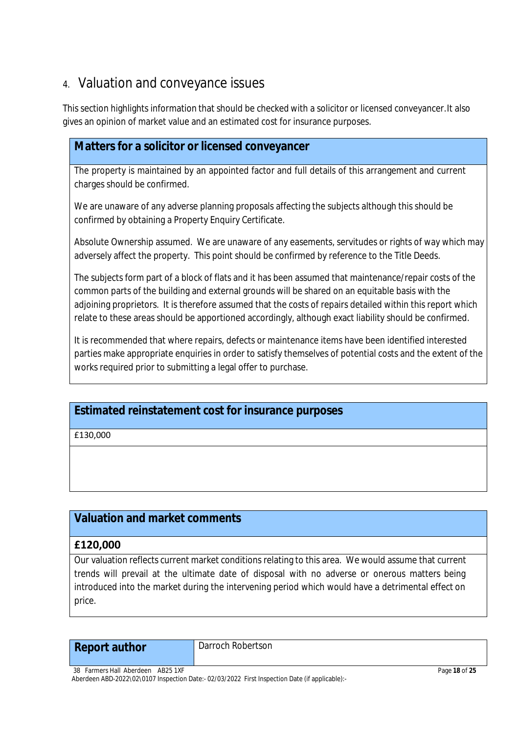# 4. Valuation and conveyance issues

This section highlights information that should be checked with a solicitor or licensed conveyancer.It also gives an opinion of market value and an estimated cost for insurance purposes.

## **Matters for a solicitor or licensed conveyancer**

The property is maintained by an appointed factor and full details of this arrangement and current charges should be confirmed.

We are unaware of any adverse planning proposals affecting the subjects although this should be confirmed by obtaining a Property Enquiry Certificate.

Absolute Ownership assumed. We are unaware of any easements, servitudes or rights of way which may adversely affect the property. This point should be confirmed by reference to the Title Deeds.

The subjects form part of a block of flats and it has been assumed that maintenance/repair costs of the common parts of the building and external grounds will be shared on an equitable basis with the adjoining proprietors. It is therefore assumed that the costs of repairs detailed within this report which relate to these areas should be apportioned accordingly, although exact liability should be confirmed.

It is recommended that where repairs, defects or maintenance items have been identified interested parties make appropriate enquiries in order to satisfy themselves of potential costs and the extent of the works required prior to submitting a legal offer to purchase.

# **Estimated reinstatement cost for insurance purposes**

£130,000

# **Valuation and market comments**

### **£120,000**

Our valuation reflects current market conditions relating to this area. We would assume that current trends will prevail at the ultimate date of disposal with no adverse or onerous matters being introduced into the market during the intervening period which would have a detrimental effect on price.

# **Report author** Darroch Robertson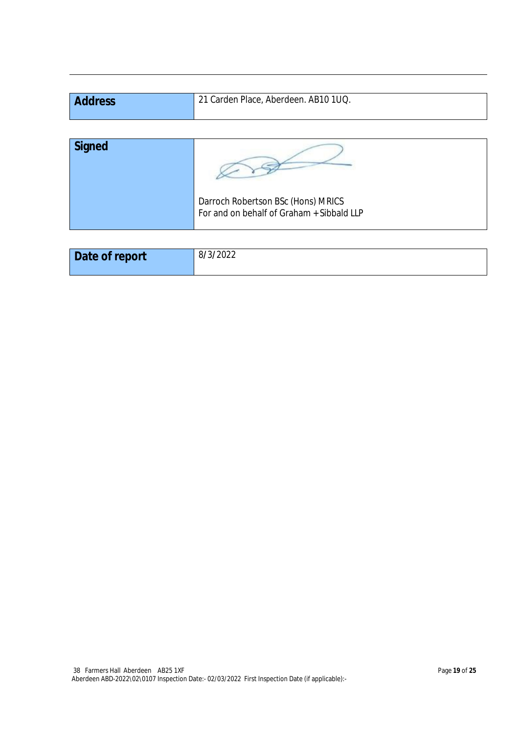| <b>Address</b> | 21 Carden Place, Aberdeen. AB10 1UQ. |
|----------------|--------------------------------------|
|                |                                      |
| Signed         |                                      |

| 74124 |                                                                                 |
|-------|---------------------------------------------------------------------------------|
|       | Darroch Robertson BSc (Hons) MRICS<br>For and on behalf of Graham + Sibbald LLP |

| Date of report | 8/3/2022 |
|----------------|----------|
|                |          |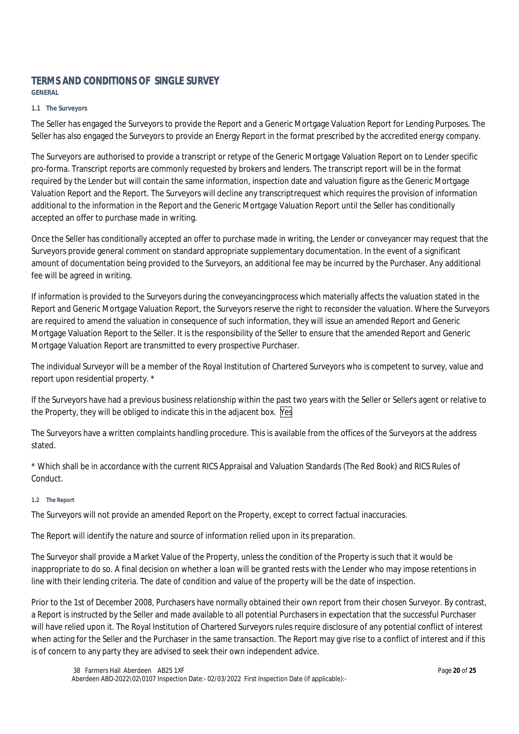## **TERMS AND CONDITIONS OF SINGLE SURVEY**

**GENERAL**

#### **1.1 The Surveyors**

The Seller has engaged the Surveyors to provide the Report and a Generic Mortgage Valuation Report for Lending Purposes. The Seller has also engaged the Surveyors to provide an Energy Report in the format prescribed by the accredited energy company.

The Surveyors are authorised to provide a transcript or retype of the Generic Mortgage Valuation Report on to Lender specific pro-forma. Transcript reports are commonly requested by brokers and lenders. The transcript report will be in the format required by the Lender but will contain the same information, inspection date and valuation figure as the Generic Mortgage Valuation Report and the Report. The Surveyors will decline any transcript request which requires the provision of information additional to the information in the Report and the Generic Mortgage Valuation Report until the Seller has conditionally accepted an offer to purchase made in writing.

Once the Seller has conditionally accepted an offer to purchase made in writing, the Lender or conveyancer may request that the Surveyors provide general comment on standard appropriate supplementary documentation. In the event of a significant amount of documentation being provided to the Surveyors, an additional fee may be incurred by the Purchaser. Any additional fee will be agreed in writing.

If information is provided to the Surveyors during the conveyancing process which materially affects the valuation stated in the Report and Generic Mortgage Valuation Report, the Surveyors reserve the right to reconsider the valuation. Where the Surveyors are required to amend the valuation in consequence of such information, they will issue an amended Report and Generic Mortgage Valuation Report to the Seller. It is the responsibility of the Seller to ensure that the amended Report and Generic Mortgage Valuation Report are transmitted to every prospective Purchaser.

The individual Surveyor will be a member of the Royal Institution of Chartered Surveyors who is competent to survey, value and report upon residential property. \*

If the Surveyors have had a previous business relationship within the past two years with the Seller or Seller's agent or relative to the Property, they will be obliged to indicate this in the adjacent box. Yes

The Surveyors have a written complaints handling procedure. This is available from the offices of the Surveyors at the address stated.

\* Which shall be in accordance with the current RICS Appraisal and Valuation Standards (The Red Book) and RICS Rules of Conduct.

#### **1.2 The Report**

The Surveyors will not provide an amended Report on the Property, except to correct factual inaccuracies.

The Report will identify the nature and source of information relied upon in its preparation.

The Surveyor shall provide a Market Value of the Property, unless the condition of the Property is such that it would be inappropriate to do so. A final decision on whether a loan will be granted rests with the Lender who may impose retentions in line with their lending criteria. The date of condition and value of the property will be the date of inspection.

Prior to the 1st of December 2008, Purchasers have normally obtained their own report from their chosen Surveyor. By contrast, a Report is instructed by the Seller and made available to all potential Purchasers in expectation that the successful Purchaser will have relied upon it. The Royal Institution of Chartered Surveyors rules require disclosure of any potential conflict of interest when acting for the Seller and the Purchaser in the same transaction. The Report may give rise to a conflict of interest and if this is of concern to any party they are advised to seek their own independent advice.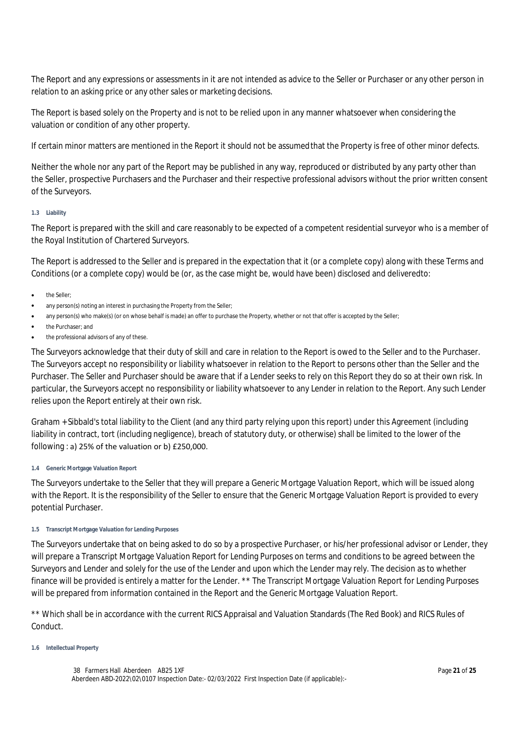The Report and any expressions or assessments in it are not intended as advice to the Seller or Purchaser or any other person in relation to an asking price or any other sales or marketing decisions.

The Report is based solely on the Property and is not to be relied upon in any manner whatsoever when considering the valuation or condition of any other property.

If certain minor matters are mentioned in the Report it should not be assumed that the Property is free of other minor defects.

Neither the whole nor any part of the Report may be published in any way, reproduced or distributed by any party other than the Seller, prospective Purchasers and the Purchaser and their respective professional advisors without the prior written consent of the Surveyors.

#### **1.3 Liability**

The Report is prepared with the skill and care reasonably to be expected of a competent residential surveyor who is a member of the Royal Institution of Chartered Surveyors.

The Report is addressed to the Seller and is prepared in the expectation that it (or a complete copy) along with these Terms and Conditions (or a complete copy) would be (or, as the case might be, would have been) disclosed and delivered to:

- the Seller;
- any person(s) noting an interest in purchasing the Property from the Seller;
- any person(s) who make(s) (or on whose behalf is made) an offer to purchase the Property, whether or not that offer is accepted by the Seller;
- the Purchaser; and
- the professional advisors of any of these.

The Surveyors acknowledge that their duty of skill and care in relation to the Report is owed to the Seller and to the Purchaser. The Surveyors accept no responsibility or liability whatsoever in relation to the Report to persons other than the Seller and the Purchaser. The Seller and Purchaser should be aware that if a Lender seeks to rely on this Report they do so at their own risk. In particular, the Surveyors accept no responsibility or liability whatsoever to any Lender in relation to the Report. Any such Lender relies upon the Report entirely at their own risk.

Graham + Sibbald's total liability to the Client (and any third party relying upon this report) under this Agreement (including liability in contract, tort (including negligence), breach of statutory duty, or otherwise) shall be limited to the lower of the following : a) 25% of the valuation or b) £250,000.

#### **1.4 Generic Mortgage Valuation Report**

The Surveyors undertake to the Seller that they will prepare a Generic Mortgage Valuation Report, which will be issued along with the Report. It is the responsibility of the Seller to ensure that the Generic Mortgage Valuation Report is provided to every potential Purchaser.

#### **1.5 Transcript Mortgage Valuation for Lending Purposes**

The Surveyors undertake that on being asked to do so by a prospective Purchaser, or his/her professional advisor or Lender, they will prepare a Transcript Mortgage Valuation Report for Lending Purposes on terms and conditions to be agreed between the Surveyors and Lender and solely for the use of the Lender and upon which the Lender may rely. The decision as to whether finance will be provided is entirely a matter for the Lender. \*\* The Transcript Mortgage Valuation Report for Lending Purposes will be prepared from information contained in the Report and the Generic Mortgage Valuation Report.

\*\* Which shall be in accordance with the current RICS Appraisal and Valuation Standards (The Red Book) and RICS Rules of Conduct.

#### **1.6 Intellectual Property**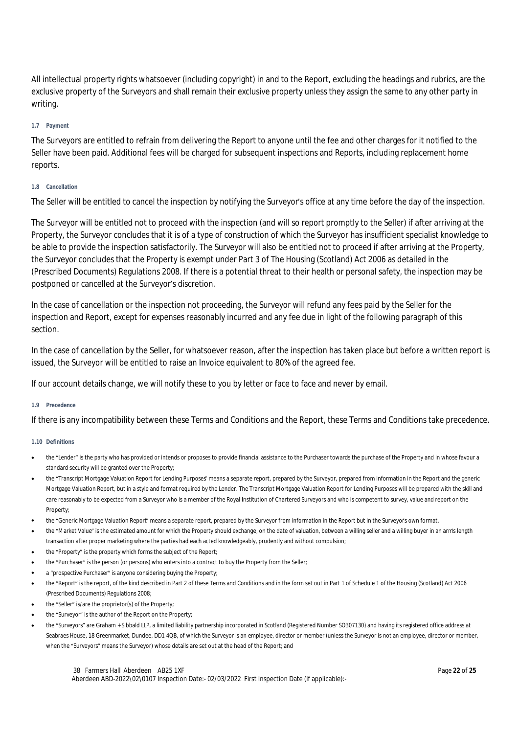All intellectual property rights whatsoever (including copyright) in and to the Report, excluding the headings and rubrics, are the exclusive property of the Surveyors and shall remain their exclusive property unless they assign the same to any other party in writing.

#### **1.7 Payment**

The Surveyors are entitled to refrain from delivering the Report to anyone until the fee and other charges for it notified to the Seller have been paid. Additional fees will be charged for subsequent inspections and Reports, including replacement home reports.

#### **1.8 Cancellation**

The Seller will be entitled to cancel the inspection by notifying the Surveyor's office at any time before the day of the inspection.

The Surveyor will be entitled not to proceed with the inspection (and will so report promptly to the Seller) if after arriving at the Property, the Surveyor concludes that it is of a type of construction of which the Surveyor has insufficient specialist knowledge to be able to provide the inspection satisfactorily. The Surveyor will also be entitled not to proceed if after arriving at the Property, the Surveyor concludes that the Property is exempt under Part 3 of The Housing (Scotland) Act 2006 as detailed in the (Prescribed Documents) Regulations 2008. If there is a potential threat to their health or personal safety, the inspection may be postponed or cancelled at the Surveyor's discretion.

In the case of cancellation or the inspection not proceeding, the Surveyor will refund any fees paid by the Seller for the inspection and Report, except for expenses reasonably incurred and any fee due in light of the following paragraph of this section.

In the case of cancellation by the Seller, for whatsoever reason, after the inspection has taken place but before a written report is issued, the Surveyor will be entitled to raise an Invoice equivalent to 80% of the agreed fee.

If our account details change, we will notify these to you by letter or face to face and never by email.

#### **1.9 Precedence**

If there is any incompatibility between these Terms and Conditions and the Report, these Terms and Conditions take precedence.

#### **1.10 Definitions**

- the "Lender" is the party who has provided or intends or proposes to provide financial assistance to the Purchaser towards the purchase of the Property and in whose favour a standard security will be granted over the Property;
- the "Transcript Mortgage Valuation Report for Lending Purposes" means a separate report, prepared by the Surveyor, prepared from information in the Report and the generic Mortgage Valuation Report, but in a style and format required by the Lender. The Transcript Mortgage Valuation Report for Lending Purposes will be prepared with the skill and care reasonably to be expected from a Surveyor who is a member of the Royal Institution of Chartered Surveyors and who is competent to survey, value and report on the Property;
- the "Generic Mortgage Valuation Report" means a separate report, prepared by the Surveyor from information in the Report but in the Surveyor's own format.
- the "Market Value" is the estimated amount for which the Property should exchange, on the date of valuation, between a willing seller and a willing buyer in an arm's length transaction after proper marketing where the parties had each acted knowledgeably, prudently and without compulsion;
- the "Property" is the property which forms the subject of the Report;
- the "Purchaser" is the person (or persons) who enters into a contract to buy the Property from the Seller;
- a "prospective Purchaser" is anyone considering buying the Property;
- the "Report" is the report, of the kind described in Part 2 of these Terms and Conditions and in the form set out in Part 1 of Schedule 1 of the Housing (Scotland) Act 2006 (Prescribed Documents) Regulations 2008;
- the "Seller" is/are the proprietor(s) of the Property;
- the "Surveyor" is the author of the Report on the Property;
- the "Surveyors" are Graham + SIbbald LLP, a limited liability partnership incorporated in Scotland (Registered Number SO307130) and having its registered office address at Seabraes House, 18 Greenmarket, Dundee, DD1 4QB, of which the Surveyor is an employee, director or member (unless the Surveyor is not an employee, director or member, when the "Surveyors" means the Surveyor) whose details are set out at the head of the Report; and

38 Farmers Hall Aberdeen AB25 1XF Aberdeen ABD-2022\02\0107 Inspection Date:- 02/03/2022 First Inspection Date (if applicable):-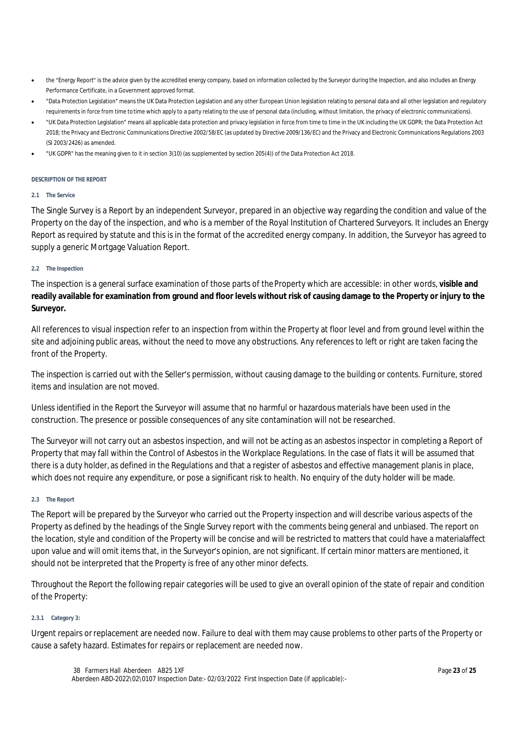- the "Energy Report" is the advice given by the accredited energy company, based on information collected by the Surveyor during the Inspection, and also includes an Energy Performance Certificate, in a Government approved format.
- "Data Protection Legislation" means the UK Data Protection Legislation and any other European Union legislation relating to personal data and all other legislation and regulatory requirements in force from time to time which apply to a party relating to the use of personal data (including, without limitation, the privacy of electronic communications).
- "UK Data Protection Legislation" means all applicable data protection and privacy legislation in force from time to time in the UK including the UK GDPR; the Data Protection Act 2018; the Privacy and Electronic Communications Directive 2002/58/EC (as updated by Directive 2009/136/EC) and the Privacy and Electronic Communications Regulations 2003 (SI 2003/2426) as amended.
- "UK GDPR" has the meaning given to it in section 3(10) (as supplemented by section 205(4)) of the Data Protection Act 2018.

#### **DESCRIPTION OF THE REPORT**

#### **2.1 The Service**

The Single Survey is a Report by an independent Surveyor, prepared in an objective way regarding the condition and value of the Property on the day of the inspection, and who is a member of the Royal Institution of Chartered Surveyors. It includes an Energy Report as required by statute and this is in the format of the accredited energy company. In addition, the Surveyor has agreed to supply a generic Mortgage Valuation Report.

#### **2.2 The Inspection**

The inspection is a general surface examination of those parts of the Property which are accessible: in other words, **visible and readily available for examination from ground and floor levels without risk of causing damage to the Property or injury to the Surveyor.**

All references to visual inspection refer to an inspection from within the Property at floor level and from ground level within the site and adjoining public areas, without the need to move any obstructions. Any references to left or right are taken facing the front of the Property.

The inspection is carried out with the Seller's permission, without causing damage to the building or contents. Furniture, stored items and insulation are not moved.

Unless identified in the Report the Surveyor will assume that no harmful or hazardous materials have been used in the construction. The presence or possible consequences of any site contamination will not be researched.

The Surveyor will not carry out an asbestos inspection, and will not be acting as an asbestos inspector in completing a Report of Property that may fall within the Control of Asbestos in the Workplace Regulations. In the case of flats it will be assumed that there is a duty holder, as defined in the Regulations and that a register of asbestos and effective management planis in place, which does not require any expenditure, or pose a significant risk to health. No enquiry of the duty holder will be made.

#### **2.3 The Report**

The Report will be prepared by the Surveyor who carried out the Property inspection and will describe various aspects of the Property as defined by the headings of the Single Survey report with the comments being general and unbiased. The report on the location, style and condition of the Property will be concise and will be restricted to matters that could have a material affect upon value and will omit items that, in the Surveyor's opinion, are not significant. If certain minor matters are mentioned, it should not be interpreted that the Property is free of any other minor defects.

Throughout the Report the following repair categories will be used to give an overall opinion of the state of repair and condition of the Property:

#### **2.3.1 Category 3:**

Urgent repairs or replacement are needed now. Failure to deal with them may cause problems to other parts of the Property or cause a safety hazard. Estimates for repairs or replacement are needed now.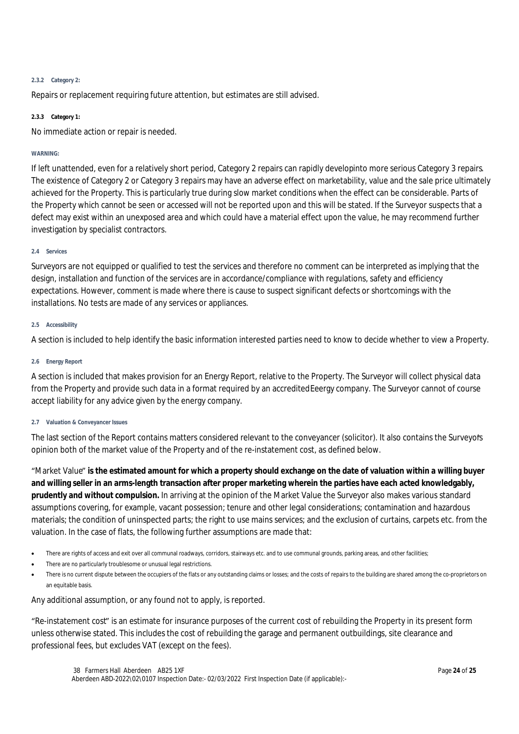#### **2.3.2 Category 2:**

Repairs or replacement requiring future attention, but estimates are still advised.

#### **2.3.3 Category 1:**

No immediate action or repair is needed.

#### **WARNING:**

If left unattended, even for a relatively short period, Category 2 repairs can rapidly developinto more serious Category 3 repairs. The existence of Category 2 or Category 3 repairs may have an adverse effect on marketability, value and the sale price ultimately achieved for the Property. This is particularly true during slow market conditions when the effect can be considerable. Parts of the Property which cannot be seen or accessed will not be reported upon and this will be stated. If the Surveyor suspects that a defect may exist within an unexposed area and which could have a material effect upon the value, he may recommend further investigation by specialist contractors.

#### **2.4 Services**

Surveyors are not equipped or qualified to test the services and therefore no comment can be interpreted as implying that the design, installation and function of the services are in accordance/compliance with regulations, safety and efficiency expectations. However, comment is made where there is cause to suspect significant defects or shortcomings with the installations. No tests are made of any services or appliances.

#### **2.5 Accessibility**

A section is included to help identify the basic information interested parties need to know to decide whether to view a Property.

#### **2.6 Energy Report**

A section is included that makes provision for an Energy Report, relative to the Property. The Surveyor will collect physical data from the Property and provide such data in a format required by an accredited Eeergy company. The Surveyor cannot of course accept liability for any advice given by the energy company.

#### **2.7 Valuation & Conveyancer Issues**

The last section of the Report contains matters considered relevant to the conveyancer (solicitor). It also contains the Surveyor's opinion both of the market value of the Property and of the re-instatement cost, as defined below.

"Market Value" **is the estimated amount for which a property should exchange on the date of valuation within a willing buyer and willing seller in an arms-length transaction after proper marketing wherein the parties have each acted knowledgably, prudently and without compulsion.** In arriving at the opinion of the Market Value the Surveyor also makes various standard assumptions covering, for example, vacant possession; tenure and other legal considerations; contamination and hazardous materials; the condition of uninspected parts; the right to use mains services; and the exclusion of curtains, carpets etc. from the valuation. In the case of flats, the following further assumptions are made that:

- There are rights of access and exit over all communal roadways, corridors, stairways etc. and to use communal grounds, parking areas, and other facilities;
- There are no particularly troublesome or unusual legal restrictions.
- There is no current dispute between the occupiers of the flats or any outstanding claims or losses; and the costs of repairs to the building are shared among the co-proprietors on an equitable basis.

Any additional assumption, or any found not to apply, is reported.

"Re-instatement cost" is an estimate for insurance purposes of the current cost of rebuilding the Property in its present form unless otherwise stated. This includes the cost of rebuilding the garage and permanent outbuildings, site clearance and professional fees, but excludes VAT (except on the fees).